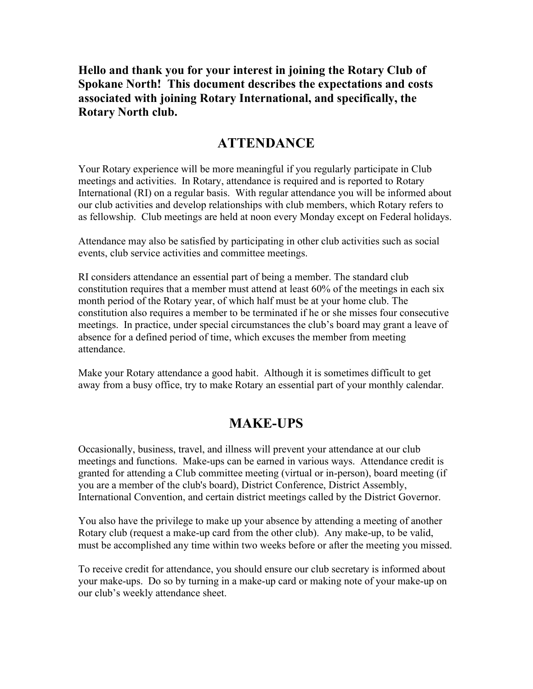Hello and thank you for your interest in joining the Rotary Club of Spokane North! This document describes the expectations and costs associated with joining Rotary International, and specifically, the Rotary North club.

#### ATTENDANCE

Your Rotary experience will be more meaningful if you regularly participate in Club meetings and activities. In Rotary, attendance is required and is reported to Rotary International (RI) on a regular basis. With regular attendance you will be informed about our club activities and develop relationships with club members, which Rotary refers to as fellowship. Club meetings are held at noon every Monday except on Federal holidays.

Attendance may also be satisfied by participating in other club activities such as social events, club service activities and committee meetings.

RI considers attendance an essential part of being a member. The standard club constitution requires that a member must attend at least 60% of the meetings in each six month period of the Rotary year, of which half must be at your home club. The constitution also requires a member to be terminated if he or she misses four consecutive meetings. In practice, under special circumstances the club's board may grant a leave of absence for a defined period of time, which excuses the member from meeting attendance.

Make your Rotary attendance a good habit. Although it is sometimes difficult to get away from a busy office, try to make Rotary an essential part of your monthly calendar.

#### MAKE-UPS

Occasionally, business, travel, and illness will prevent your attendance at our club meetings and functions. Make-ups can be earned in various ways. Attendance credit is granted for attending a Club committee meeting (virtual or in-person), board meeting (if you are a member of the club's board), District Conference, District Assembly, International Convention, and certain district meetings called by the District Governor.

You also have the privilege to make up your absence by attending a meeting of another Rotary club (request a make-up card from the other club). Any make-up, to be valid, must be accomplished any time within two weeks before or after the meeting you missed.

To receive credit for attendance, you should ensure our club secretary is informed about your make-ups. Do so by turning in a make-up card or making note of your make-up on our club's weekly attendance sheet.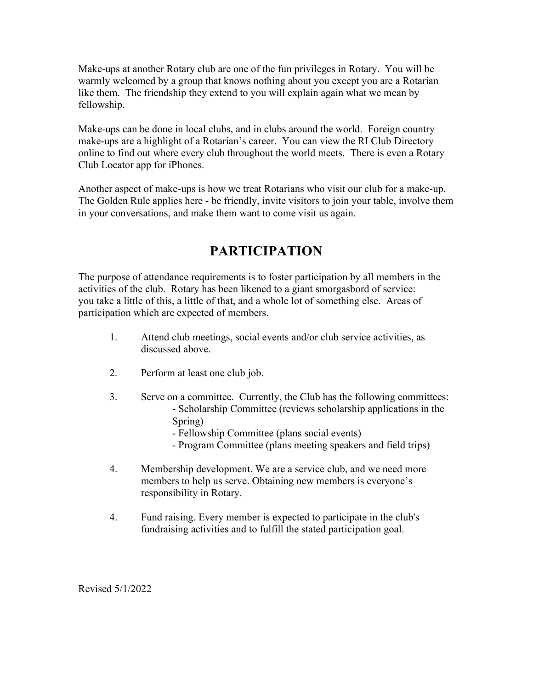Make-ups at another Rotary club are one of the fun privileges in Rotary. You will be warmly welcomed by a group that knows nothing about you except you are a Rotarian like them. The friendship they extend to you will explain again what we mean by fellowship.

Make-ups can be done in local clubs, and in clubs around the world. Foreign country make-ups are a highlight of a Rotarian's career. You can view the RI Club Directory online to find out where every club throughout the world meets. There is even a Rotary Club Locator app for iPhones.

Another aspect of make-ups is how we treat Rotarians who visit our club for a make-up. The Golden Rule applies here - be friendly, invite visitors to join your table, involve them in your conversations, and make them want to come visit us again.

# PARTICIPATION

The purpose of attendance requirements is to foster participation by all members in the activities of the club. Rotary has been likened to a giant smorgasbord of service: you take a little of this, a little of that, and a whole lot of something else. Areas of participation which are expected of members.

- 1. Attend club meetings, social events and/or club service activities, as discussed above.
- 2. Perform at least one club job.
- 3. Serve on a committee. Currently, the Club has the following committees: - Scholarship Committee (reviews scholarship applications in the Spring)
	- Fellowship Committee (plans social events)
	- Program Committee (plans meeting speakers and field trips)
- 4. Membership development. We are a service club, and we need more members to help us serve. Obtaining new members is everyone's responsibility in Rotary.
- 4. Fund raising. Every member is expected to participate in the club's fundraising activities and to fulfill the stated participation goal.

Revised 5/1/2022